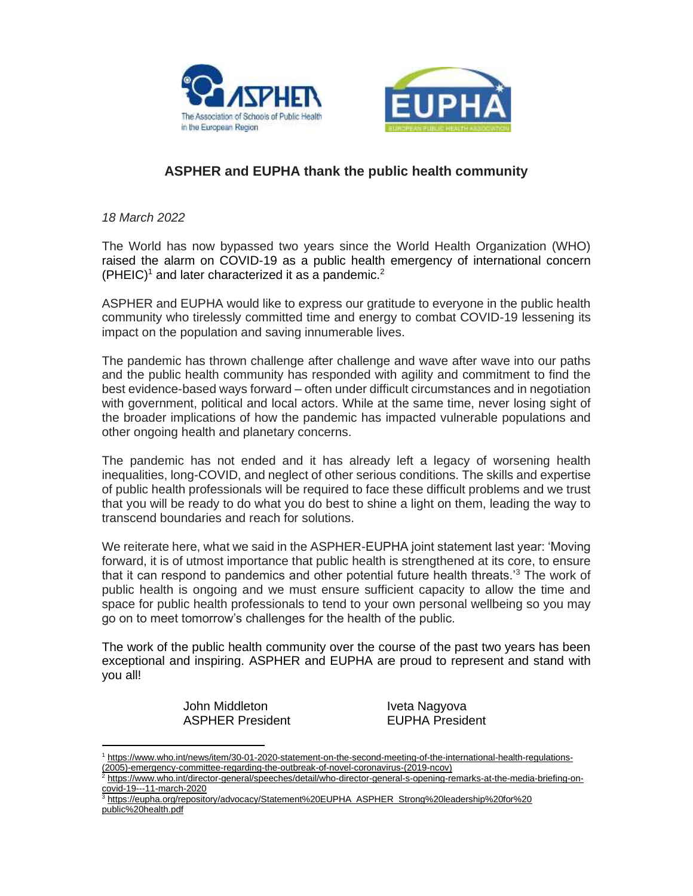



## **ASPHER and EUPHA thank the public health community**

*18 March 2022*

The World has now bypassed two years since the World Health Organization (WHO) raised the alarm on COVID-19 as a public health emergency of international concern  $(PHEIC)^1$  and later characterized it as a pandemic.<sup>2</sup>

ASPHER and EUPHA would like to express our gratitude to everyone in the public health community who tirelessly committed time and energy to combat COVID-19 lessening its impact on the population and saving innumerable lives.

The pandemic has thrown challenge after challenge and wave after wave into our paths and the public health community has responded with agility and commitment to find the best evidence-based ways forward – often under difficult circumstances and in negotiation with government, political and local actors. While at the same time, never losing sight of the broader implications of how the pandemic has impacted vulnerable populations and other ongoing health and planetary concerns.

The pandemic has not ended and it has already left a legacy of worsening health inequalities, long-COVID, and neglect of other serious conditions. The skills and expertise of public health professionals will be required to face these difficult problems and we trust that you will be ready to do what you do best to shine a light on them, leading the way to transcend boundaries and reach for solutions.

We reiterate here, what we said in the ASPHER-EUPHA joint statement last year: 'Moving forward, it is of utmost importance that public health is strengthened at its core, to ensure that it can respond to pandemics and other potential future health threats.'<sup>3</sup> The work of public health is ongoing and we must ensure sufficient capacity to allow the time and space for public health professionals to tend to your own personal wellbeing so you may go on to meet tomorrow's challenges for the health of the public.

The work of the public health community over the course of the past two years has been exceptional and inspiring. ASPHER and EUPHA are proud to represent and stand with you all!

> John Middleton **Iveta Nagyova** ASPHER President **EUPHA** President

<sup>1</sup> [https://www.who.int/news/item/30-01-2020-statement-on-the-second-meeting-of-the-international-health-regulations-](https://www.who.int/news/item/30-01-2020-statement-on-the-second-meeting-of-the-international-health-regulations-(2005)-emergency-committee-regarding-the-outbreak-of-novel-coronavirus-(2019-ncov)) [\(2005\)-emergency-committee-regarding-the-outbreak-of-novel-coronavirus-\(2019-ncov\)](https://www.who.int/news/item/30-01-2020-statement-on-the-second-meeting-of-the-international-health-regulations-(2005)-emergency-committee-regarding-the-outbreak-of-novel-coronavirus-(2019-ncov))

<sup>&</sup>lt;sup>2</sup> [https://www.who.int/director-general/speeches/detail/who-director-general-s-opening-remarks-at-the-media-briefing-on](https://www.who.int/director-general/speeches/detail/who-director-general-s-opening-remarks-at-the-media-briefing-on-covid-19---11-march-2020)[covid-19---11-march-2020](https://www.who.int/director-general/speeches/detail/who-director-general-s-opening-remarks-at-the-media-briefing-on-covid-19---11-march-2020)

<sup>3</sup> [https://eupha.org/repository/advocacy/Statement%20EUPHA\\_ASPHER\\_Strong%20leadership%20for%20](https://eupha.org/repository/advocacy/Statement%20EUPHA_ASPHER_Strong%20leadership%20for%20public%20health.pdf) [public%20health.pdf](https://eupha.org/repository/advocacy/Statement%20EUPHA_ASPHER_Strong%20leadership%20for%20public%20health.pdf)